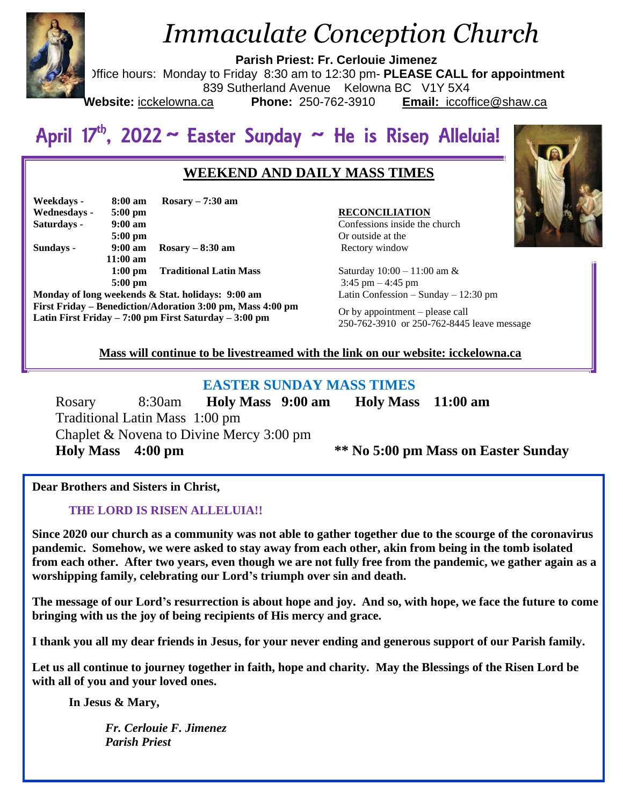

# *Immaculate Conception Church*

**Parish Priest: Fr. Cerlouie Jimenez**

Office hours: Monday to Friday 8:30 am to 12:30 pm- **PLEASE CALL for appointment**

839 Sutherland Avenue Kelowna BC V1Y 5X4

**Website:** icckelowna.ca **Phone:** 250-762-3910 **Email:** iccoffice@shaw.ca

# April 17<sup>th</sup>, 2022 ~ Easter Sunday ~ He is Risen Alleluia!

# **WEEKEND AND DAILY MASS TIMES**

| Weekdays -   | 8:00 am           | Rosary $-7:30$ am             |
|--------------|-------------------|-------------------------------|
| Wednesdays - | $5:00 \text{ pm}$ |                               |
| Saturdays -  | $9:00 \text{ am}$ |                               |
|              | $5:00$ pm         |                               |
| Sundays -    | $9:00 \text{ am}$ | Rosary $-8:30$ am             |
|              | $11:00$ am        |                               |
|              | $1:00$ pm         | <b>Traditional Latin Mass</b> |
|              | $5:00$ pm         |                               |

**Monday of long weekends & Stat. holidays: 9:00 am First Friday – Benediction/Adoration 3:00 pm, Mass 4:00 pm Latin First Friday – 7:00 pm First Saturday – 3:00 pm** 

#### **RECONCILIATION**

Confessions inside the church Or outside at the Rectory window

Saturday 10:00 – 11:00 am &  $3:45 \text{ pm} - 4:45 \text{ pm}$ Latin Confession – Sunday – 12:30 pm

Or by appointment – please call 250-762-3910 or 250-762-8445 leave message

## **Mass will continue to be livestreamed with the link on our website: icckelowna.ca**

# **EASTER SUNDAY MASS TIMES**

 Rosary 8:30am **Holy Mass 9:00 am Holy Mass 11:00 am** Traditional Latin Mass 1:00 pm Chaplet & Novena to Divine Mercy 3:00 pm **Holy Mass 4:00 pm \*\* No 5:00 pm Mass on Easter Sunday**

**Dear Brothers and Sisters in Christ,**

# **THE LORD IS RISEN ALLELUIA!!**

**Since 2020 our church as a community was not able to gather together due to the scourge of the coronavirus pandemic. Somehow, we were asked to stay away from each other, akin from being in the tomb isolated from each other. After two years, even though we are not fully free from the pandemic, we gather again as a worshipping family, celebrating our Lord's triumph over sin and death.** 

**The message of our Lord's resurrection is about hope and joy. And so, with hope, we face the future to come bringing with us the joy of being recipients of His mercy and grace.**

**I thank you all my dear friends in Jesus, for your never ending and generous support of our Parish family.**

**Let us all continue to journey together in faith, hope and charity. May the Blessings of the Risen Lord be with all of you and your loved ones.** 

**In Jesus & Mary,**

*Fr. Cerlouie F. Jimenez Parish Priest* 

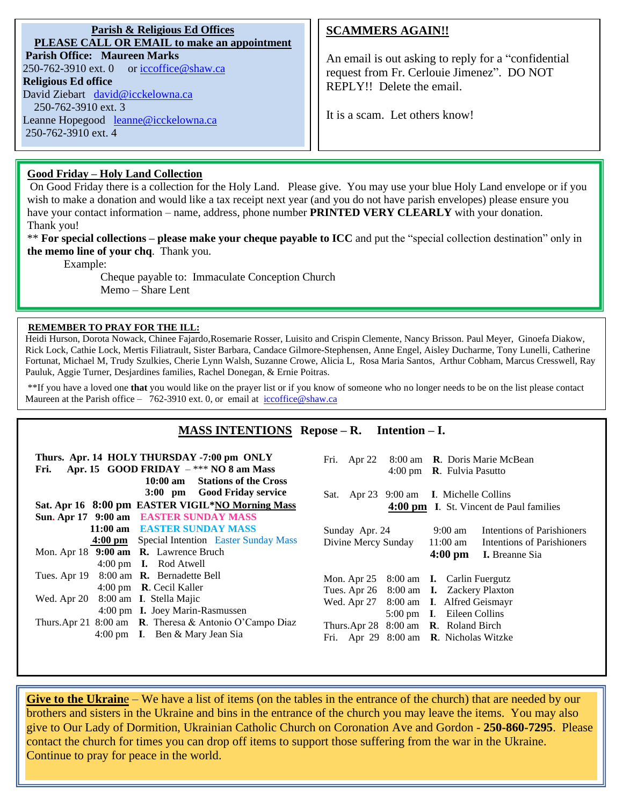| Parish & Religious Ed Offices                                      |  |  |  |
|--------------------------------------------------------------------|--|--|--|
| PLEASE CALL OR EMAIL to make an appointment                        |  |  |  |
| <b>Parish Office: Maureen Marks</b>                                |  |  |  |
| 250-762-3910 ext. 0 or $\operatorname{iccoffice}\nolimits@shaw.ca$ |  |  |  |
| <b>Religious Ed office</b>                                         |  |  |  |
| David Ziebart david@icckelowna.ca                                  |  |  |  |
| 250-762-3910 ext. 3                                                |  |  |  |
| Leanne Hopegood leanne@icckelowna.ca                               |  |  |  |
| 250-762-3910 ext. 4                                                |  |  |  |

## **SCAMMERS AGAIN!!**

An email is out asking to reply for a "confidential request from Fr. Cerlouie Jimenez". DO NOT REPLY!! Delete the email.

It is a scam. Let others know!

#### **Good Friday – Holy Land Collection**

On Good Friday there is a collection for the Holy Land. Please give. You may use your blue Holy Land envelope or if you wish to make a donation and would like a tax receipt next year (and you do not have parish envelopes) please ensure you have your contact information – name, address, phone number **PRINTED VERY CLEARLY** with your donation. Thank you!

\*\* **For special collections – please make your cheque payable to ICC** and put the "special collection destination" only in **the memo line of your chq**. Thank you.

Example:

l

Cheque payable to: Immaculate Conception Church Memo – Share Lent

#### **REMEMBER TO PRAY FOR THE ILL:**

Heidi Hurson, Dorota Nowack, Chinee Fajardo,Rosemarie Rosser, Luisito and Crispin Clemente, Nancy Brisson. Paul Meyer, Ginoefa Diakow, Rick Lock, Cathie Lock, Mertis Filiatrault, Sister Barbara, Candace Gilmore-Stephensen, Anne Engel, Aisley Ducharme, Tony Lunelli, Catherine Fortunat, Michael M, Trudy Szulkies, Cherie Lynn Walsh, Suzanne Crowe, Alicia L, Rosa Maria Santos, Arthur Cobham, Marcus Cresswell, Ray Pauluk, Aggie Turner, Desjardines families, Rachel Donegan, & Ernie Poitras.

\*\*If you have a loved one **that** you would like on the prayer list or if you know of someone who no longer needs to be on the list please contact Maureen at the Parish office – 762-3910 ext. 0, or email at iccoffice@shaw.ca

### **MASS INTENTIONS Repose – R. Intention – I.**

| Thurs. Apr. 14 HOLY THURSDAY -7:00 pm ONLY<br>Apr. 15 GOOD FRIDAY $-***$ NO 8 am Mass<br>Fri.<br><b>Stations of the Cross</b><br>$10:00 \text{ am}$ | 8:00 am R. Doris Marie McBean<br>Fri. Apr 22<br>4:00 pm $\,$ <b>R</b> . Fulvia Pasutto |  |
|-----------------------------------------------------------------------------------------------------------------------------------------------------|----------------------------------------------------------------------------------------|--|
| 3:00 pm Good Friday service                                                                                                                         | Sat. Apr 23 9:00 am I. Michelle Collins                                                |  |
| Sat. Apr 16 8:00 pm EASTER VIGIL*NO Morning Mass                                                                                                    | 4:00 pm I. St. Vincent de Paul families                                                |  |
| Sun. Apr 17 9:00 am EASTER SUNDAY MASS                                                                                                              |                                                                                        |  |
| 11:00 am EASTER SUNDAY MASS                                                                                                                         | Sunday Apr. 24<br>Intentions of Parishioners<br>9:00 am                                |  |
| <b>4:00 pm</b> Special Intention Easter Sunday Mass                                                                                                 | Divine Mercy Sunday<br>$11:00 \text{ am}$<br>Intentions of Parishioners                |  |
| Mon. Apr 18 9:00 am R. Lawrence Bruch                                                                                                               | $4:00 \text{ pm}$<br><b>I.</b> Breanne Sia                                             |  |
| 4:00 pm <b>I.</b> Rod Atwell                                                                                                                        |                                                                                        |  |
| Tues. Apr 19 8:00 am <b>R.</b> Bernadette Bell                                                                                                      | Mon. Apr 25 8:00 am <b>I.</b> Carlin Fuergutz                                          |  |
| 4:00 pm R. Cecil Kaller                                                                                                                             | Tues. Apr 26 8:00 am <b>I.</b> Zackery Plaxton                                         |  |
| Wed. Apr 20 8:00 am I. Stella Majic                                                                                                                 | Wed. Apr 27 8:00 am I. Alfred Geismayr                                                 |  |
| 4:00 pm I. Joey Marin-Rasmussen                                                                                                                     | 5:00 pm I. Eileen Collins                                                              |  |
| Thurs.Apr 21 8:00 am R. Theresa & Antonio O'Campo Diaz                                                                                              | Thurs.Apr $28$ 8:00 am <b>R</b> . Roland Birch                                         |  |
| 4:00 pm I. Ben & Mary Jean Sia                                                                                                                      | Fri. Apr 29 8:00 am <b>R</b> . Nicholas Witzke                                         |  |

**Give to the Ukrain**e – We have a list of items (on the tables in the entrance of the church) that are needed by our brothers and sisters in the Ukraine and bins in the entrance of the church you may leave the items. You may also give to Our Lady of Dormition, Ukrainian Catholic Church on Coronation Ave and Gordon - **250-860-7295**. Please contact the church for times you can drop off items to support those suffering from the war in the Ukraine. Continue to pray for peace in the world.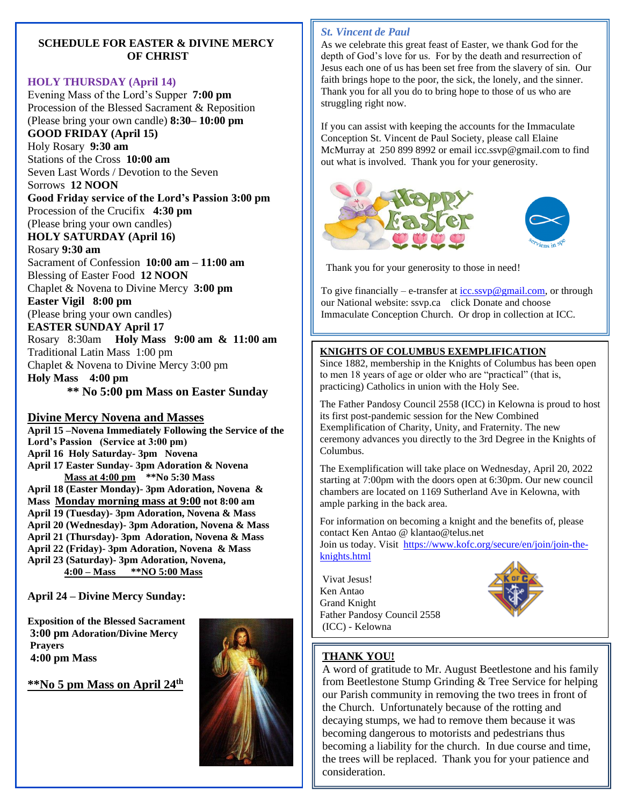#### **SCHEDULE FOR EASTER & DIVINE MERCY OF CHRIST**

#### **HOLY THURSDAY (April 14)**

Evening Mass of the Lord's Supper **7:00 pm** Procession of the Blessed Sacrament & Reposition (Please bring your own candle) **8:30– 10:00 pm** 

**GOOD FRIDAY (April 15)**

Holy Rosary **9:30 am** Stations of the Cross **10:00 am** Seven Last Words / Devotion to the Seven

Sorrows **12 NOON**

**Good Friday service of the Lord's Passion 3:00 pm** Procession of the Crucifix **4:30 pm**

(Please bring your own candles)

**HOLY SATURDAY (April 16)**

Rosary **9:30 am**

Sacrament of Confession **10:00 am – 11:00 am** Blessing of Easter Food **12 NOON** Chaplet & Novena to Divine Mercy **3:00 pm Easter Vigil 8:00 pm**

(Please bring your own candles)

**EASTER SUNDAY April 17**

Rosary 8:30am **Holy Mass 9:00 am & 11:00 am** Traditional Latin Mass 1:00 pm Chaplet & Novena to Divine Mercy 3:00 pm **Holy Mass 4:00 pm** 

**\*\* No 5:00 pm Mass on Easter Sunday**

#### **Divine Mercy Novena and Masses**

**April 15 –Novena Immediately Following the Service of the Lord's Passion (Service at 3:00 pm) April 16 Holy Saturday- 3pm Novena April 17 Easter Sunday- 3pm Adoration & Novena Mass at 4:00 pm \*\*No 5:30 Mass April 18 (Easter Monday)- 3pm Adoration, Novena & Mass Monday morning mass at 9:00 not 8:00 am April 19 (Tuesday)- 3pm Adoration, Novena & Mass April 20 (Wednesday)- 3pm Adoration, Novena & Mass April 21 (Thursday)- 3pm Adoration, Novena & Mass April 22 (Friday)- 3pm Adoration, Novena & Mass April 23 (Saturday)- 3pm Adoration, Novena, 4:00 – Mass \*\*NO 5:00 Mass**

**April 24 – Divine Mercy Sunday:**

**Exposition of the Blessed Sacrament 3:00 pm Adoration/Divine Mercy Prayers 4:00 pm Mass** 

**\*\*No 5 pm Mass on April 24th**



#### *St. Vincent de Paul*

 As we celebrate this great feast of Easter, we thank God for the depth of God's love for us. For by the death and resurrection of Jesus each one of us has been set free from the slavery of sin. Our faith brings hope to the poor, the sick, the lonely, and the sinner. Thank you for all you do to bring hope to those of us who are struggling right now.

If you can assist with keeping the accounts for the Immaculate Conception St. Vincent de Paul Society, please call Elaine McMurray at 250 899 8992 or email icc.ssvp@gmail.com to find out what is involved. Thank you for your generosity.



Thank you for your generosity to those in need!

To give financially – e-transfer at  $icc.syp@gmail.com$ , or through our National website: ssvp.ca click Donate and choose Immaculate Conception Church. Or drop in collection at ICC.

#### **KNIGHTS OF COLUMBUS EXEMPLIFICATION**

Since 1882, membership in the Knights of Columbus has been open to men 18 years of age or older who are "practical" (that is, practicing) Catholics in union with the Holy See.

The Father Pandosy Council 2558 (ICC) in Kelowna is proud to host its first post-pandemic session for the New Combined Exemplification of Charity, Unity, and Fraternity. The new ceremony advances you directly to the 3rd Degree in the Knights of Columbus.

The Exemplification will take place on Wednesday, April 20, 2022 starting at 7:00pm with the doors open at 6:30pm. Our new council chambers are located on 1169 Sutherland Ave in Kelowna, with ample parking in the back area.

For information on becoming a knight and the benefits of, please contact Ken Antao @ klantao@telus.net Join us today. Visit [https://www.kofc.org/secure/en/join/join-the-](https://www.kofc.org/secure/en/join/join-the-knights.html)

[knights.html](https://www.kofc.org/secure/en/join/join-the-knights.html) 

Vivat Jesus! Ken Antao Grand Knight Father Pandosy Council 2558 (ICC) - Kelowna



# **THANK YOU!**

A word of gratitude to Mr. August Beetlestone and his family from Beetlestone Stump Grinding & Tree Service for helping our Parish community in removing the two trees in front of the Church. Unfortunately because of the rotting and decaying stumps, we had to remove them because it was becoming dangerous to motorists and pedestrians thus becoming a liability for the church. In due course and time, the trees will be replaced. Thank you for your patience and consideration.